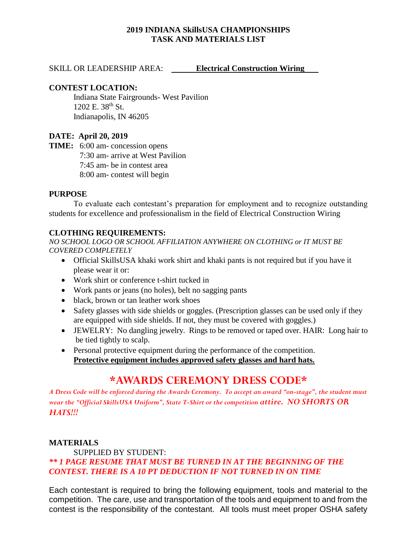## **2019 INDIANA SkillsUSA CHAMPIONSHIPS TASK AND MATERIALS LIST**

### SKILL OR LEADERSHIP AREA: **Electrical Construction Wiring**

### **CONTEST LOCATION:**

Indiana State Fairgrounds- West Pavilion 1202 E. 38<sup>th</sup> St. Indianapolis, IN 46205

### **DATE: April 20, 2019**

**TIME:** 6:00 am- concession opens 7:30 am- arrive at West Pavilion 7:45 am- be in contest area 8:00 am- contest will begin

### **PURPOSE**

To evaluate each contestant's preparation for employment and to recognize outstanding students for excellence and professionalism in the field of Electrical Construction Wiring

## **CLOTHING REQUIREMENTS:**

*NO SCHOOL LOGO OR SCHOOL AFFILIATION ANYWHERE ON CLOTHING or IT MUST BE COVERED COMPLETELY*

- Official SkillsUSA khaki work shirt and khaki pants is not required but if you have it please wear it or:
- Work shirt or conference t-shirt tucked in
- Work pants or jeans (no holes), belt no sagging pants
- black, brown or tan leather work shoes
- Safety glasses with side shields or goggles. (Prescription glasses can be used only if they are equipped with side shields. If not, they must be covered with goggles.)
- JEWELRY: No dangling jewelry. Rings to be removed or taped over. HAIR: Long hair to be tied tightly to scalp.
- Personal protective equipment during the performance of the competition. **Protective equipment includes approved safety glasses and hard hats.**

# **\*AWARDS CEREMONY DRESS CODE\***

*A Dress Code will be enforced during the Awards Ceremony. To accept an award "on-stage", the student must wear the "Official SkillsUSA Uniform", State T-Shirt or the competition attire. NO SHORTS OR HATS!!!*

## **MATERIALS**

## SUPPLIED BY STUDENT: *\*\* 1 PAGE RESUME THAT MUST BE TURNED IN AT THE BEGINNING OF THE CONTEST. THERE IS A 10 PT DEDUCTION IF NOT TURNED IN ON TIME*

Each contestant is required to bring the following equipment, tools and material to the competition. The care, use and transportation of the tools and equipment to and from the contest is the responsibility of the contestant. All tools must meet proper OSHA safety